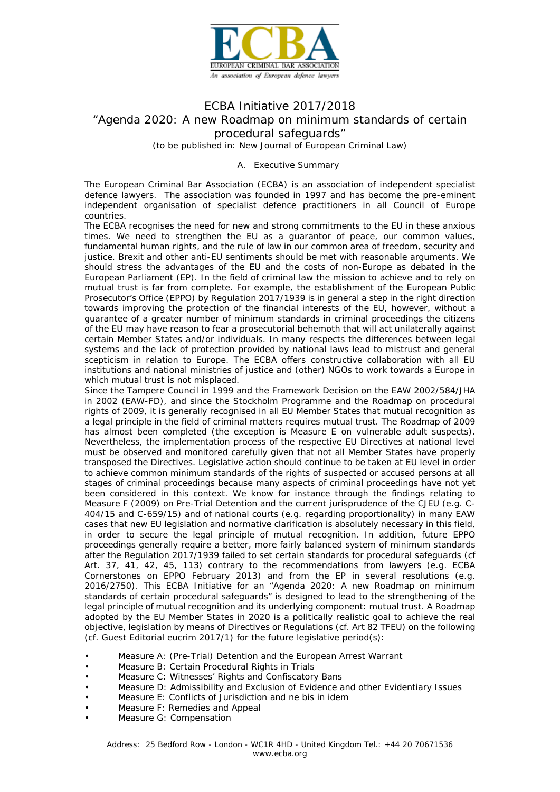

# ECBA Initiative 2017/2018 "Agenda 2020: A new Roadmap on minimum standards of certain procedural safeguards" *(to be published in: New Journal of European Criminal Law)*

A. Executive Summary

The European Criminal Bar Association (ECBA) is an association of independent specialist defence lawyers. The association was founded in 1997 and has become the pre-eminent independent organisation of specialist defence practitioners in all Council of Europe countries.

The ECBA recognises the need for new and strong commitments to the EU in these anxious times. We need to strengthen the EU as a guarantor of peace, our common values, fundamental human rights, and the rule of law in our common area of freedom, security and justice. Brexit and other anti-EU sentiments should be met with reasonable arguments. We should stress the advantages of the EU and the costs of non-Europe as debated in the European Parliament (EP). In the field of criminal law the mission to achieve and to rely on mutual trust is far from complete. For example, the establishment of the European Public Prosecutor's Office (EPPO) by Regulation 2017/1939 is in general a step in the right direction towards improving the protection of the financial interests of the EU, however, without a guarantee of a greater number of minimum standards in criminal proceedings the citizens of the EU may have reason to fear a prosecutorial behemoth that will act unilaterally against certain Member States and/or individuals. In many respects the differences between legal systems and the lack of protection provided by national laws lead to mistrust and general scepticism in relation to Europe. The ECBA offers constructive collaboration with all EU institutions and national ministries of justice and (other) NGOs to work towards a Europe in which mutual trust is not misplaced.

Since the Tampere Council in 1999 and the Framework Decision on the EAW 2002/584/JHA in 2002 (EAW-FD), and since the Stockholm Programme and the Roadmap on procedural rights of 2009, it is generally recognised in all EU Member States that mutual recognition as a legal principle in the field of criminal matters requires mutual trust. The Roadmap of 2009 has almost been completed (the exception is Measure E on vulnerable adult suspects). Nevertheless, the implementation process of the respective EU Directives at national level must be observed and monitored carefully given that not all Member States have properly transposed the Directives. Legislative action should continue to be taken at EU level in order to achieve common minimum standards of the rights of suspected or accused persons at all stages of criminal proceedings because many aspects of criminal proceedings have not yet been considered in this context. We know for instance through the findings relating to Measure F (2009) on Pre-Trial Detention and the current jurisprudence of the CJEU (e.g. C-404/15 and C-659/15) and of national courts (e.g. regarding proportionality) in many EAW cases that new EU legislation and normative clarification is absolutely necessary in this field, in order to secure the legal principle of mutual recognition. In addition, future EPPO proceedings generally require a better, more fairly balanced system of minimum standards after the Regulation 2017/1939 failed to set certain standards for procedural safeguards (cf Art. 37, 41, 42, 45, 113) contrary to the recommendations from lawyers (e.g. ECBA Cornerstones on EPPO February 2013) and from the EP in several resolutions (e.g. 2016/2750). This ECBA Initiative for an "Agenda 2020: A new Roadmap on minimum standards of certain procedural safeguards" is designed to lead to the strengthening of the legal principle of mutual recognition and its underlying component: mutual trust. A Roadmap adopted by the EU Member States in 2020 is a politically realistic goal to achieve the real objective, legislation by means of Directives or Regulations (cf. Art 82 TFEU) on the following (cf. Guest Editorial eucrim 2017/1) for the future legislative period(s):

- Measure A: (Pre-Trial) Detention and the European Arrest Warrant
- Measure B: Certain Procedural Rights in Trials
- Measure C: Witnesses' Rights and Confiscatory Bans
- Measure D: Admissibility and Exclusion of Evidence and other Evidentiary Issues
- Measure E: Conflicts of Jurisdiction and ne bis in idem
- Measure F: Remedies and Appeal
- Measure G: Compensation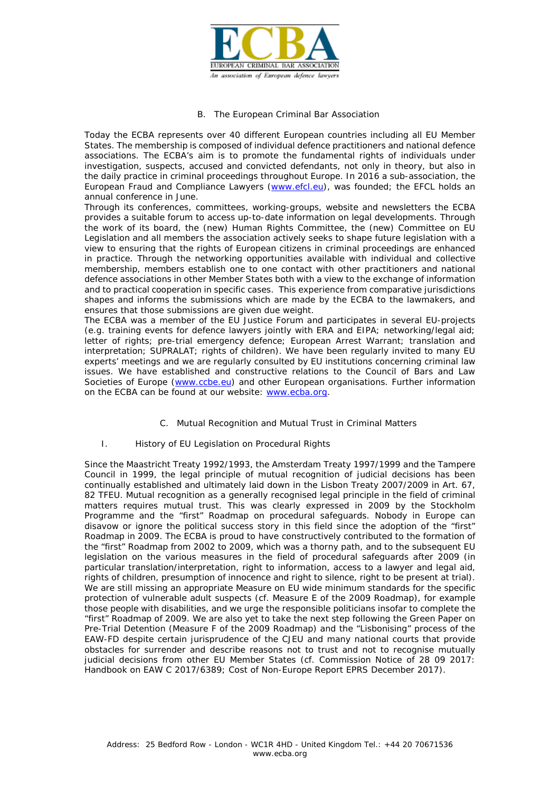

#### B. The European Criminal Bar Association

Today the ECBA represents over 40 different European countries including all EU Member States. The membership is composed of individual defence practitioners and national defence associations. The ECBA's aim is to promote the fundamental rights of individuals under investigation, suspects, accused and convicted defendants, not only in theory, but also in the daily practice in criminal proceedings throughout Europe. In 2016 a sub-association, the European Fraud and Compliance Lawyers [\(www.efcl.eu\)](http://www.efcl.eu/), was founded; the EFCL holds an annual conference in June.

Through its conferences, committees, working-groups, website and newsletters the ECBA provides a suitable forum to access up-to-date information on legal developments. Through the work of its board, the (new) Human Rights Committee, the (new) Committee on EU Legislation and all members the association actively seeks to shape future legislation with a view to ensuring that the rights of European citizens in criminal proceedings are enhanced in practice. Through the networking opportunities available with individual and collective membership, members establish one to one contact with other practitioners and national defence associations in other Member States both with a view to the exchange of information and to practical cooperation in specific cases. This experience from comparative jurisdictions shapes and informs the submissions which are made by the ECBA to the lawmakers, and ensures that those submissions are given due weight.

The ECBA was a member of the EU Justice Forum and participates in several EU-projects (e.g. training events for defence lawyers jointly with ERA and EIPA; networking/legal aid; letter of rights; pre-trial emergency defence; European Arrest Warrant; translation and interpretation; SUPRALAT; rights of children). We have been regularly invited to many EU experts' meetings and we are regularly consulted by EU institutions concerning criminal law issues. We have established and constructive relations to the Council of Bars and Law Societies of Europe [\(www.ccbe.eu\)](http://www.ccbe.eu/) and other European organisations. Further information on the ECBA can be found at our website: [www.ecba.org.](http://www.ecba.org/)

## C. Mutual Recognition and Mutual Trust in Criminal Matters

## I. History of EU Legislation on Procedural Rights

Since the Maastricht Treaty 1992/1993, the Amsterdam Treaty 1997/1999 and the Tampere Council in 1999, the legal principle of mutual recognition of judicial decisions has been continually established and ultimately laid down in the Lisbon Treaty 2007/2009 in Art. 67, 82 TFEU. Mutual recognition as a generally recognised legal principle in the field of criminal matters requires mutual trust. This was clearly expressed in 2009 by the Stockholm Programme and the "first" Roadmap on procedural safeguards. Nobody in Europe can disavow or ignore the political success story in this field since the adoption of the "first" Roadmap in 2009. The ECBA is proud to have constructively contributed to the formation of the "first" Roadmap from 2002 to 2009, which was a thorny path, and to the subsequent EU legislation on the various measures in the field of procedural safeguards after 2009 (in particular translation/interpretation, right to information, access to a lawyer and legal aid, rights of children, presumption of innocence and right to silence, right to be present at trial). We are still missing an appropriate Measure on EU wide minimum standards for the specific protection of vulnerable adult suspects (cf. Measure E of the 2009 Roadmap), for example those people with disabilities, and we urge the responsible politicians insofar to complete the "first" Roadmap of 2009. We are also yet to take the next step following the Green Paper on Pre-Trial Detention (Measure F of the 2009 Roadmap) and the "Lisbonising" process of the EAW-FD despite certain jurisprudence of the CJEU and many national courts that provide obstacles for surrender and describe reasons not to trust and not to recognise mutually judicial decisions from other EU Member States (cf. Commission Notice of 28 09 2017: Handbook on EAW C 2017/6389; Cost of Non-Europe Report EPRS December 2017).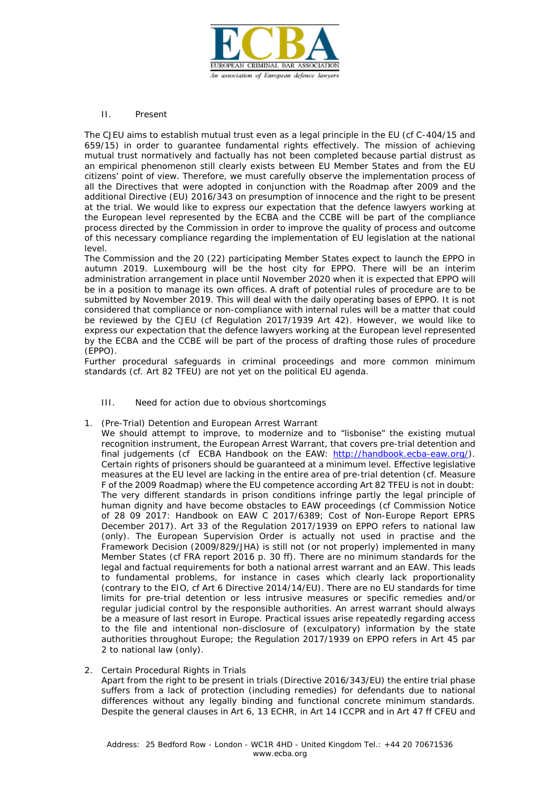

## II. Present

The CJEU aims to establish mutual trust even as a legal principle in the EU (cf C-404/15 and 659/15) in order to guarantee fundamental rights effectively. The mission of achieving mutual trust normatively and factually has not been completed because partial distrust as an empirical phenomenon still clearly exists between EU Member States and from the EU citizens' point of view. Therefore, we must carefully observe the implementation process of all the Directives that were adopted in conjunction with the Roadmap after 2009 and the additional Directive (EU) 2016/343 on presumption of innocence and the right to be present at the trial. We would like to express our expectation that the defence lawyers working at the European level represented by the ECBA and the CCBE will be part of the compliance process directed by the Commission in order to improve the quality of process and outcome of this necessary compliance regarding the implementation of EU legislation at the national level.

The Commission and the 20 (22) participating Member States expect to launch the EPPO in autumn 2019. Luxembourg will be the host city for EPPO. There will be an interim administration arrangement in place until November 2020 when it is expected that EPPO will be in a position to manage its own offices. A draft of potential rules of procedure are to be submitted by November 2019. This will deal with the daily operating bases of EPPO. It is not considered that compliance or non-compliance with internal rules will be a matter that could be reviewed by the CJEU (cf Regulation 2017/1939 Art 42). However, we would like to express our expectation that the defence lawyers working at the European level represented by the ECBA and the CCBE will be part of the process of drafting those rules of procedure (EPPO).

Further procedural safeguards in criminal proceedings and more common minimum standards (cf. Art 82 TFEU) are not yet on the political EU agenda.

- III. Need for action due to obvious shortcomings
- 1. (Pre-Trial) Detention and European Arrest Warrant

We should attempt to improve, to modernize and to "lisbonise" the existing mutual recognition instrument, the European Arrest Warrant, that covers pre-trial detention and final judgements (cf *ECBA Handbook on the EAW*: [http://handbook.ecba-eaw.org/\)](http://handbook.ecba-eaw.org/). Certain rights of prisoners should be guaranteed at a minimum level. Effective legislative measures at the EU level are lacking in the entire area of pre-trial detention (cf. Measure F of the 2009 Roadmap) where the EU competence according Art 82 TFEU is not in doubt: The very different standards in prison conditions infringe partly the legal principle of human dignity and have become obstacles to EAW proceedings (cf Commission Notice of 28 09 2017: Handbook on EAW C 2017/6389; Cost of Non-Europe Report EPRS December 2017). Art 33 of the Regulation 2017/1939 on EPPO refers to national law (only). The European Supervision Order is actually not used in practise and the Framework Decision (2009/829/JHA) is still not (or not properly) implemented in many Member States (cf FRA report 2016 p. 30 ff). There are no minimum standards for the legal and factual requirements for both a national arrest warrant and an EAW. This leads to fundamental problems, for instance in cases which clearly lack proportionality (contrary to the EIO, cf Art 6 Directive 2014/14/EU). There are no EU standards for time limits for pre-trial detention or less intrusive measures or specific remedies and/or regular judicial control by the responsible authorities. An arrest warrant should always be a measure of last resort in Europe. Practical issues arise repeatedly regarding access to the file and intentional non-disclosure of (exculpatory) information by the state authorities throughout Europe; the Regulation 2017/1939 on EPPO refers in Art 45 par 2 to national law (only).

2. Certain Procedural Rights in Trials Apart from the right to be present in trials (Directive 2016/343/EU) the entire trial phase suffers from a lack of protection (including remedies) for defendants due to national differences without any legally binding and functional concrete minimum standards. Despite the general clauses in Art 6, 13 ECHR, in Art 14 ICCPR and in Art 47 ff CFEU and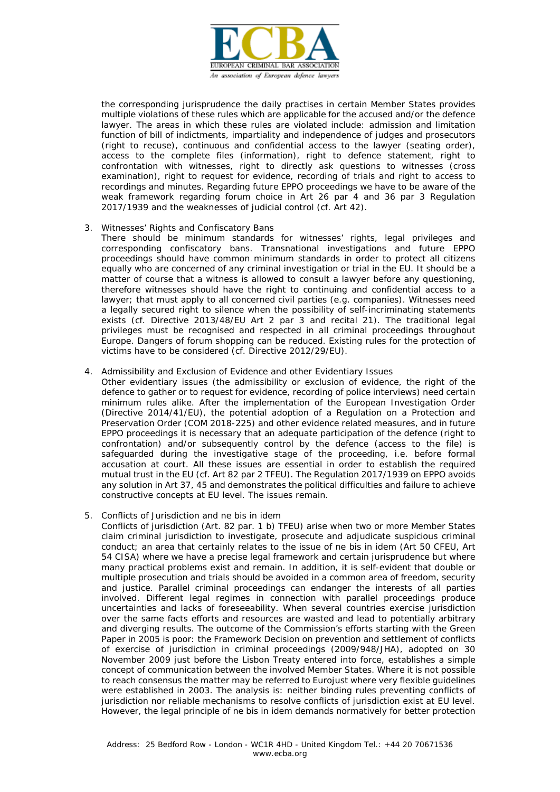

the corresponding jurisprudence the daily practises in certain Member States provides multiple violations of these rules which are applicable for the accused and/or the defence lawyer. The areas in which these rules are violated include: admission and limitation function of bill of indictments, impartiality and independence of judges and prosecutors (right to recuse), continuous and confidential access to the lawyer (seating order), access to the complete files (information), right to defence statement, right to confrontation with witnesses, right to directly ask questions to witnesses (cross examination), right to request for evidence, recording of trials and right to access to recordings and minutes. Regarding future EPPO proceedings we have to be aware of the weak framework regarding forum choice in Art 26 par 4 and 36 par 3 Regulation 2017/1939 and the weaknesses of judicial control (cf. Art 42).

3. Witnesses' Rights and Confiscatory Bans

There should be minimum standards for witnesses' rights, legal privileges and corresponding confiscatory bans. Transnational investigations and future EPPO proceedings should have common minimum standards in order to protect all citizens equally who are concerned of any criminal investigation or trial in the EU. It should be a matter of course that a witness is allowed to consult a lawyer before any questioning, therefore witnesses should have the right to continuing and confidential access to a lawyer; that must apply to all concerned civil parties (e.g. companies). Witnesses need a legally secured right to silence when the possibility of self-incriminating statements exists (cf. Directive 2013/48/EU Art 2 par 3 and recital 21). The traditional legal privileges must be recognised and respected in all criminal proceedings throughout Europe. Dangers of forum shopping can be reduced. Existing rules for the protection of victims have to be considered (cf. Directive 2012/29/EU).

4. Admissibility and Exclusion of Evidence and other Evidentiary Issues

Other evidentiary issues (the admissibility or exclusion of evidence, the right of the defence to gather or to request for evidence, recording of police interviews) need certain minimum rules alike. After the implementation of the European Investigation Order (Directive 2014/41/EU), the potential adoption of a Regulation on a Protection and Preservation Order (COM 2018-225) and other evidence related measures, and in future EPPO proceedings it is necessary that an adequate participation of the defence (right to confrontation) and/or subsequently control by the defence (access to the file) is safeguarded during the investigative stage of the proceeding, i.e. before formal accusation at court. All these issues are essential in order to establish the required mutual trust in the EU (cf. Art 82 par 2 TFEU). The Regulation 2017/1939 on EPPO avoids any solution in Art 37, 45 and demonstrates the political difficulties and failure to achieve constructive concepts at EU level. The issues remain.

5. Conflicts of Jurisdiction and ne bis in idem

Conflicts of jurisdiction (Art. 82 par. 1 b) TFEU) arise when two or more Member States claim criminal jurisdiction to investigate, prosecute and adjudicate suspicious criminal conduct; an area that certainly relates to the issue of ne bis in idem (Art 50 CFEU, Art 54 CISA) where we have a precise legal framework and certain jurisprudence but where many practical problems exist and remain. In addition, it is self-evident that double or multiple prosecution and trials should be avoided in a common area of freedom, security and justice. Parallel criminal proceedings can endanger the interests of all parties involved. Different legal regimes in connection with parallel proceedings produce uncertainties and lacks of foreseeability. When several countries exercise jurisdiction over the same facts efforts and resources are wasted and lead to potentially arbitrary and diverging results. The outcome of the Commission's efforts starting with the Green Paper in 2005 is poor: the Framework Decision on prevention and settlement of conflicts of exercise of jurisdiction in criminal proceedings (2009/948/JHA), adopted on 30 November 2009 just before the Lisbon Treaty entered into force, establishes a simple concept of communication between the involved Member States. Where it is not possible to reach consensus the matter may be referred to Eurojust where very flexible guidelines were established in 2003. The analysis is: neither binding rules preventing conflicts of jurisdiction nor reliable mechanisms to resolve conflicts of jurisdiction exist at EU level. However, the legal principle of ne bis in idem demands normatively for better protection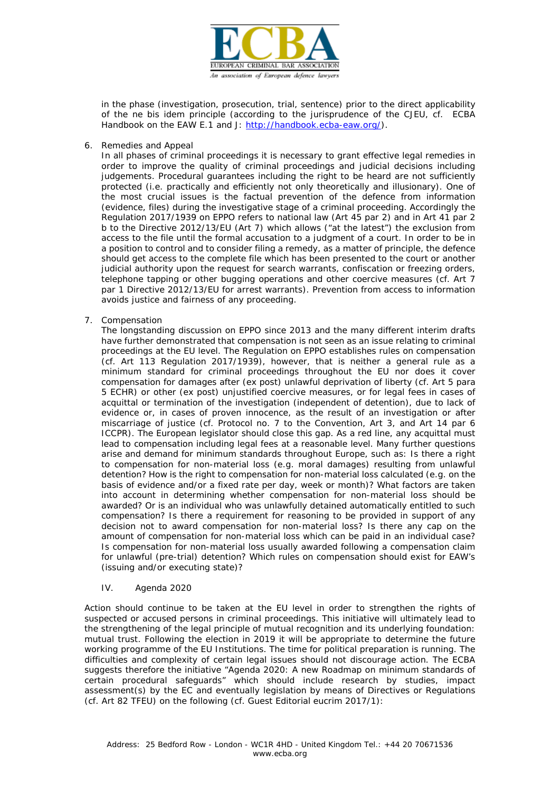

in the phase (investigation, prosecution, trial, sentence) prior to the direct applicability of the ne bis idem principle (according to the jurisprudence of the CJEU, cf. *ECBA Handbook on the EAW* E.1 and J: [http://handbook.ecba-eaw.org/\)](http://handbook.ecba-eaw.org/).

6. Remedies and Appeal

In all phases of criminal proceedings it is necessary to grant effective legal remedies in order to improve the quality of criminal proceedings and judicial decisions including judgements. Procedural guarantees including the right to be heard are not sufficiently protected (i.e. practically and efficiently not only theoretically and illusionary). One of the most crucial issues is the factual prevention of the defence from information (evidence, files) during the investigative stage of a criminal proceeding. Accordingly the Regulation 2017/1939 on EPPO refers to national law (Art 45 par 2) and in Art 41 par 2 b to the Directive 2012/13/EU (Art 7) which allows ("at the latest") the exclusion from access to the file until the formal accusation to a judgment of a court. In order to be in a position to control and to consider filing a remedy, as a matter of principle, the defence should get access to the complete file which has been presented to the court or another judicial authority upon the request for search warrants, confiscation or freezing orders, telephone tapping or other bugging operations and other coercive measures (cf. Art 7 par 1 Directive 2012/13/EU for arrest warrants). Prevention from access to information avoids justice and fairness of any proceeding.

7. Compensation

The longstanding discussion on EPPO since 2013 and the many different interim drafts have further demonstrated that compensation is not seen as an issue relating to criminal proceedings at the EU level. The Regulation on EPPO establishes rules on compensation (cf. Art 113 Regulation 2017/1939), however, that is neither a general rule as a minimum standard for criminal proceedings throughout the EU nor does it cover compensation for damages after (ex post) unlawful deprivation of liberty (cf. Art 5 para 5 ECHR) or other (ex post) unjustified coercive measures, or for legal fees in cases of acquittal or termination of the investigation (independent of detention), due to lack of evidence or, in cases of proven innocence, as the result of an investigation or after miscarriage of justice (cf. Protocol no. 7 to the Convention, Art 3, and Art 14 par 6 ICCPR). The European legislator should close this gap. As a red line, any acquittal must lead to compensation including legal fees at a reasonable level. Many further questions arise and demand for minimum standards throughout Europe, such as: Is there a right to compensation for non-material loss (e.g. moral damages) resulting from unlawful detention? How is the right to compensation for non-material loss calculated (e.g. on the basis of evidence and/or a fixed rate per day, week or month)? What factors are taken into account in determining whether compensation for non-material loss should be awarded? Or is an individual who was unlawfully detained automatically entitled to such compensation? Is there a requirement for reasoning to be provided in support of any decision not to award compensation for non-material loss? Is there any cap on the amount of compensation for non-material loss which can be paid in an individual case? Is compensation for non-material loss usually awarded following a compensation claim for unlawful (pre-trial) detention? Which rules on compensation should exist for EAW's (issuing and/or executing state)?

#### IV. Agenda 2020

Action should continue to be taken at the EU level in order to strengthen the rights of suspected or accused persons in criminal proceedings. This initiative will ultimately lead to the strengthening of the legal principle of mutual recognition and its underlying foundation: mutual trust. Following the election in 2019 it will be appropriate to determine the future working programme of the EU Institutions. The time for political preparation is running. The difficulties and complexity of certain legal issues should not discourage action. The ECBA suggests therefore the initiative "Agenda 2020: A new Roadmap on minimum standards of certain procedural safeguards" which should include research by studies, impact assessment(s) by the EC and eventually legislation by means of Directives or Regulations (cf. Art 82 TFEU) on the following (cf. Guest Editorial eucrim 2017/1):